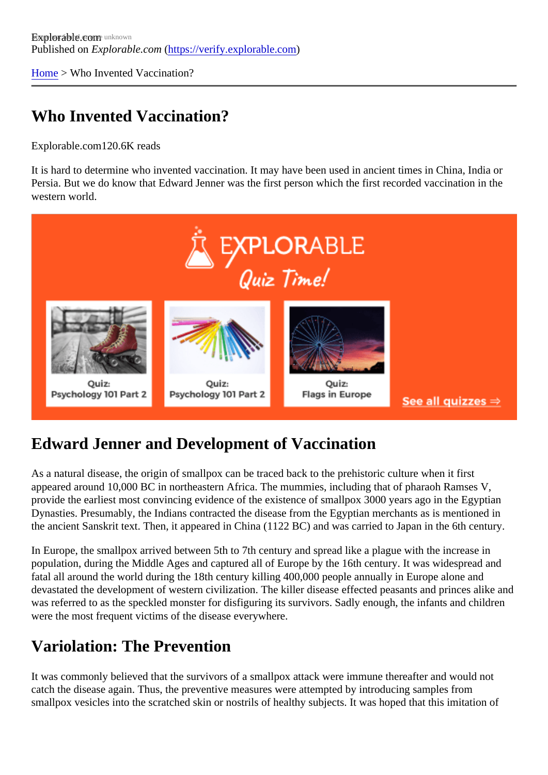[Home](https://verify.explorable.com/) > Who Invented Vaccination?

### Who Invented Vaccination?

Explorable.com120.6K reads

It is hard to determine who invented vaccination. It may have been used in ancient times in China, India or Persia. But we do know that Edward Jenner was the first person which the first recorded vaccination in the western world.

#### Edward Jenner and Development of Vaccination

As a natural disease, the origin of smallpox can be traced back to the prehistoric culture when it first appeared around 10,000 BC in northeastern Africa. The mummies, including that of pharaoh Ramses V, provide the earliest most convincing evidence of the existence of smallpox 3000 years ago in the Egyptian Dynasties. Presumably, the Indians contracted the disease from the Egyptian merchants as is mentioned the ancient Sanskrit text. Then, it appeared in China (1122 BC) and was carried to Japan in the 6th centur

In Europe, the smallpox arrived between 5th to 7th century and spread like a plague with the increase in population, during the Middle Ages and captured all of Europe by the 16th century. It was widespread and fatal all around the world during the 18th century killing 400,000 people annually in Europe alone and devastated the development of western civilization. The killer disease effected peasants and princes alike was referred to as the speckled monster for disfiguring its survivors. Sadly enough, the infants and childre were the most frequent victims of the disease everywhere.

#### Variolation: The Prevention

It was commonly believed that the survivors of a smallpox attack were immune thereafter and would not catch the disease again. Thus, the preventive measures were attempted by introducing samples from smallpox vesicles into the scratched skin or nostrils of healthy subjects. It was hoped that this imitation of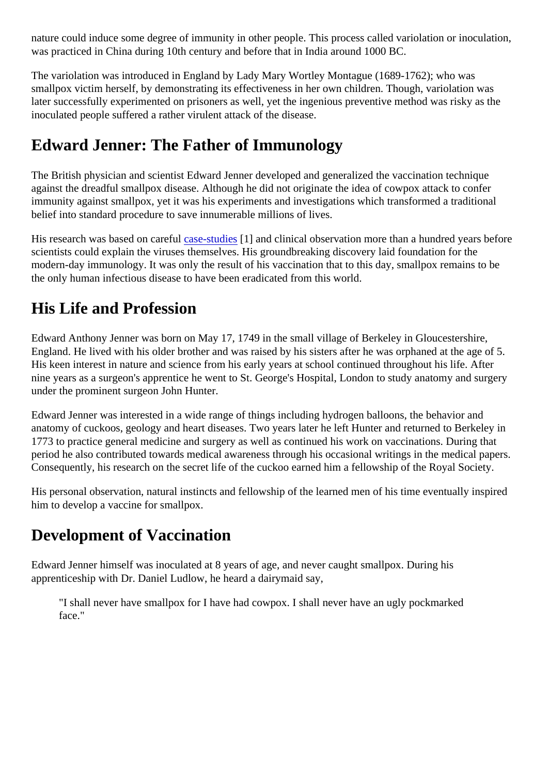nature could induce some degree of immunity in other people. This process called variolation or inoculatio was practiced in China during 10th century and before that in India around 1000 BC.

The variolation was introduced in England by Lady Mary Wortley Montague (1689-1762); who was smallpox victim herself, by demonstrating its effectiveness in her own children. Though, variolation was later successfully experimented on prisoners as well, yet the ingenious preventive method was risky as the inoculated people suffered a rather virulent attack of the disease.

#### Edward Jenner: The Father of Immunology

The British physician and scientist Edward Jenner developed and generalized the vaccination technique against the dreadful smallpox disease. Although he did not originate the idea of cowpox attack to confer immunity against smallpox, yet it was his experiments and investigations which transformed a traditional belief into standard procedure to save innumerable millions of lives.

His research was based on carease-studies and clinical observation more than a hundred years before scientists could explain the viruses themselves. His groundbreaking discovery laid foundation for the modern-day immunology. It was only the result of his vaccination that to this day, smallpox remains to be the only human infectious disease to have been eradicated from this world.

#### His Life and Profession

Edward Anthony Jenner was born on May 17, 1749 in the small village of Berkeley in Gloucestershire, England. He lived with his older brother and was raised by his sisters after he was orphaned at the age of 5. His keen interest in nature and science from his early years at school continued throughout his life. After nine years as a surgeon's apprentice he went to St. George's Hospital, London to study anatomy and surger under the prominent surgeon John Hunter.

Edward Jenner was interested in a wide range of things including hydrogen balloons, the behavior and anatomy of cuckoos, geology and heart diseases. Two years later he left Hunter and returned to Berkeley 1773 to practice general medicine and surgery as well as continued his work on vaccinations. During that period he also contributed towards medical awareness through his occasional writings in the medical paper Consequently, his research on the secret life of the cuckoo earned him a fellowship of the Royal Society.

His personal observation, natural instincts and fellowship of the learned men of his time eventually inspired him to develop a vaccine for smallpox.

#### Development of Vaccination

Edward Jenner himself was inoculated at 8 years of age, and never caught smallpox. During his apprenticeship with Dr. Daniel Ludlow, he heard a dairymaid say,

"I shall never have smallpox for I have had cowpox. I shall never have an ugly pockmarked face."